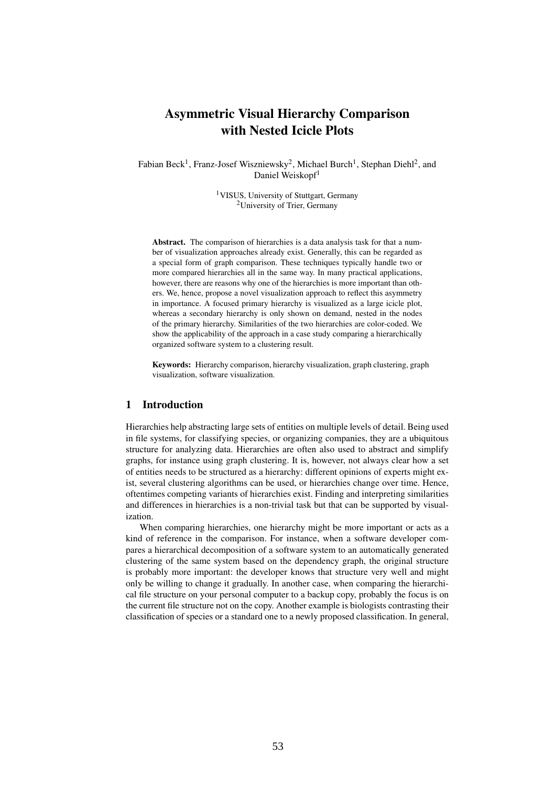# Asymmetric Visual Hierarchy Comparison with Nested Icicle Plots

Fabian Beck<sup>1</sup>, Franz-Josef Wiszniewsky<sup>2</sup>, Michael Burch<sup>1</sup>, Stephan Diehl<sup>2</sup>, and Daniel Weiskopf<sup>1</sup>

> <sup>1</sup>VISUS, University of Stuttgart, Germany <sup>2</sup>University of Trier, Germany

Abstract. The comparison of hierarchies is a data analysis task for that a number of visualization approaches already exist. Generally, this can be regarded as a special form of graph comparison. These techniques typically handle two or more compared hierarchies all in the same way. In many practical applications, however, there are reasons why one of the hierarchies is more important than others. We, hence, propose a novel visualization approach to reflect this asymmetry in importance. A focused primary hierarchy is visualized as a large icicle plot, whereas a secondary hierarchy is only shown on demand, nested in the nodes of the primary hierarchy. Similarities of the two hierarchies are color-coded. We show the applicability of the approach in a case study comparing a hierarchically organized software system to a clustering result.

Keywords: Hierarchy comparison, hierarchy visualization, graph clustering, graph visualization, software visualization.

# 1 Introduction

Hierarchies help abstracting large sets of entities on multiple levels of detail. Being used in file systems, for classifying species, or organizing companies, they are a ubiquitous structure for analyzing data. Hierarchies are often also used to abstract and simplify graphs, for instance using graph clustering. It is, however, not always clear how a set of entities needs to be structured as a hierarchy: different opinions of experts might exist, several clustering algorithms can be used, or hierarchies change over time. Hence, oftentimes competing variants of hierarchies exist. Finding and interpreting similarities and differences in hierarchies is a non-trivial task but that can be supported by visualization.

When comparing hierarchies, one hierarchy might be more important or acts as a kind of reference in the comparison. For instance, when a software developer compares a hierarchical decomposition of a software system to an automatically generated clustering of the same system based on the dependency graph, the original structure is probably more important: the developer knows that structure very well and might only be willing to change it gradually. In another case, when comparing the hierarchical file structure on your personal computer to a backup copy, probably the focus is on the current file structure not on the copy. Another example is biologists contrasting their classification of species or a standard one to a newly proposed classification. In general,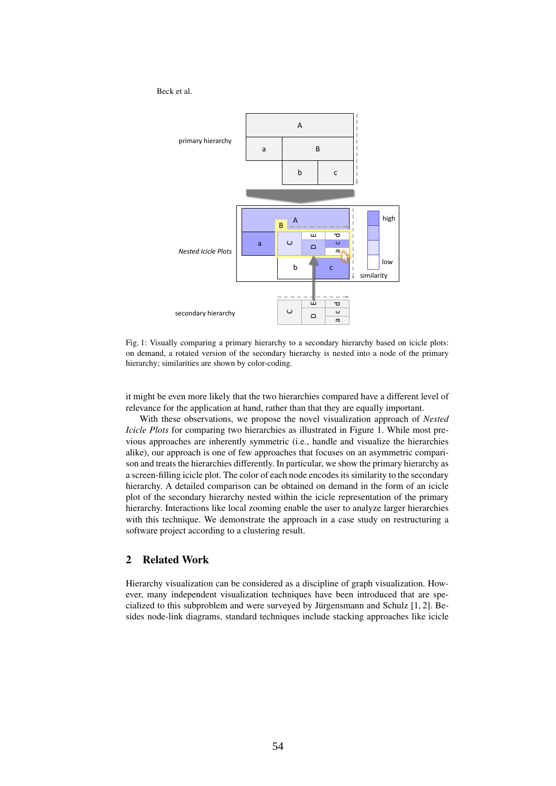

Fig. 1: Visually comparing a primary hierarchy to a secondary hierarchy based on icicle plots: on demand, a rotated version of the secondary hierarchy is nested into a node of the primary hierarchy; similarities are shown by color-coding.

it might be even more likely that the two hierarchies compared have a different level of relevance for the application at hand, rather than that they are equally important.

With these observations, we propose the novel visualization approach of *Nested Icicle Plots* for comparing two hierarchies as illustrated in Figure 1. While most previous approaches are inherently symmetric (i.e., handle and visualize the hierarchies alike), our approach is one of few approaches that focuses on an asymmetric comparison and treats the hierarchies differently. In particular, we show the primary hierarchy as a screen-filling icicle plot. The color of each node encodes its similarity to the secondary hierarchy. A detailed comparison can be obtained on demand in the form of an icicle plot of the secondary hierarchy nested within the icicle representation of the primary hierarchy. Interactions like local zooming enable the user to analyze larger hierarchies with this technique. We demonstrate the approach in a case study on restructuring a software project according to a clustering result.

## 2 Related Work

Hierarchy visualization can be considered as a discipline of graph visualization. However, many independent visualization techniques have been introduced that are specialized to this subproblem and were surveyed by Jürgensmann and Schulz  $[1, 2]$ . Besides node-link diagrams, standard techniques include stacking approaches like icicle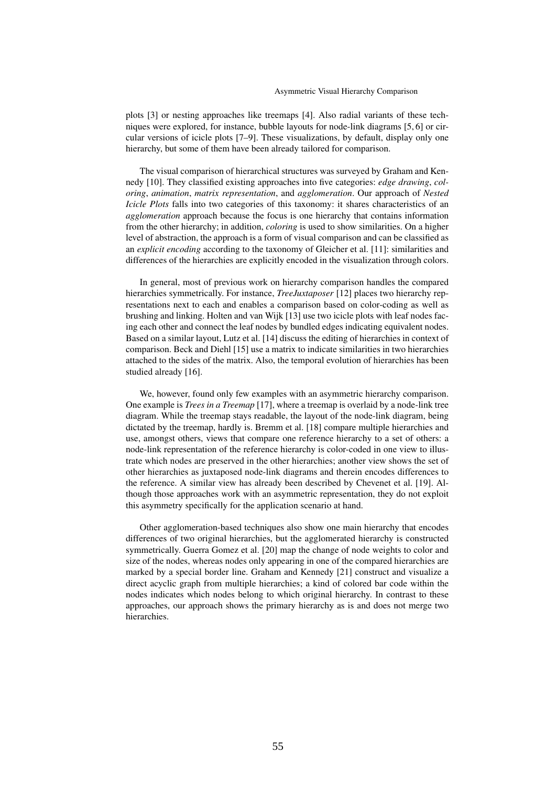plots [3] or nesting approaches like treemaps [4]. Also radial variants of these techniques were explored, for instance, bubble layouts for node-link diagrams [5, 6] or circular versions of icicle plots [7–9]. These visualizations, by default, display only one hierarchy, but some of them have been already tailored for comparison.

The visual comparison of hierarchical structures was surveyed by Graham and Kennedy [10]. They classified existing approaches into five categories: *edge drawing*, *coloring*, *animation*, *matrix representation*, and *agglomeration*. Our approach of *Nested Icicle Plots* falls into two categories of this taxonomy: it shares characteristics of an *agglomeration* approach because the focus is one hierarchy that contains information from the other hierarchy; in addition, *coloring* is used to show similarities. On a higher level of abstraction, the approach is a form of visual comparison and can be classified as an *explicit encoding* according to the taxonomy of Gleicher et al. [11]: similarities and differences of the hierarchies are explicitly encoded in the visualization through colors.

In general, most of previous work on hierarchy comparison handles the compared hierarchies symmetrically. For instance, *TreeJuxtaposer* [12] places two hierarchy representations next to each and enables a comparison based on color-coding as well as brushing and linking. Holten and van Wijk [13] use two icicle plots with leaf nodes facing each other and connect the leaf nodes by bundled edges indicating equivalent nodes. Based on a similar layout, Lutz et al. [14] discuss the editing of hierarchies in context of comparison. Beck and Diehl [15] use a matrix to indicate similarities in two hierarchies attached to the sides of the matrix. Also, the temporal evolution of hierarchies has been studied already [16].

We, however, found only few examples with an asymmetric hierarchy comparison. One example is *Trees in a Treemap* [17], where a treemap is overlaid by a node-link tree diagram. While the treemap stays readable, the layout of the node-link diagram, being dictated by the treemap, hardly is. Bremm et al. [18] compare multiple hierarchies and use, amongst others, views that compare one reference hierarchy to a set of others: a node-link representation of the reference hierarchy is color-coded in one view to illustrate which nodes are preserved in the other hierarchies; another view shows the set of other hierarchies as juxtaposed node-link diagrams and therein encodes differences to the reference. A similar view has already been described by Chevenet et al. [19]. Although those approaches work with an asymmetric representation, they do not exploit this asymmetry specifically for the application scenario at hand.

Other agglomeration-based techniques also show one main hierarchy that encodes differences of two original hierarchies, but the agglomerated hierarchy is constructed symmetrically. Guerra Gomez et al. [20] map the change of node weights to color and size of the nodes, whereas nodes only appearing in one of the compared hierarchies are marked by a special border line. Graham and Kennedy [21] construct and visualize a direct acyclic graph from multiple hierarchies; a kind of colored bar code within the nodes indicates which nodes belong to which original hierarchy. In contrast to these approaches, our approach shows the primary hierarchy as is and does not merge two hierarchies.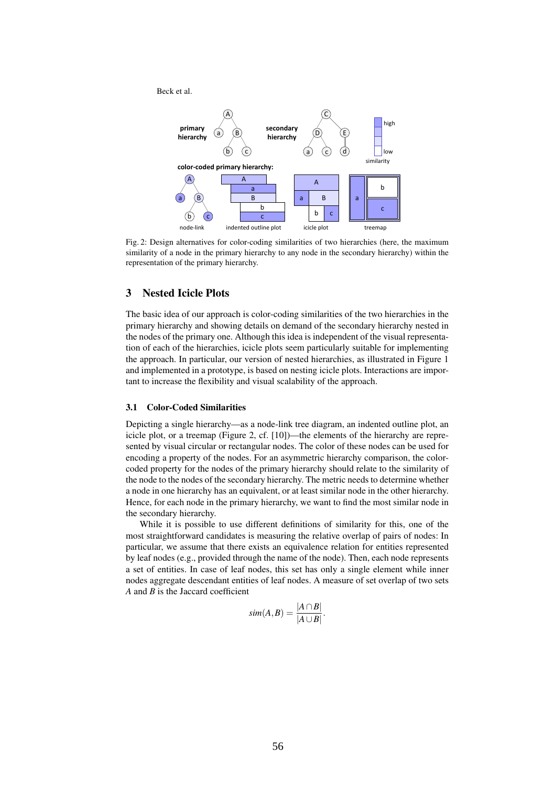

Fig. 2: Design alternatives for color-coding similarities of two hierarchies (here, the maximum similarity of a node in the primary hierarchy to any node in the secondary hierarchy) within the representation of the primary hierarchy.

## 3 Nested Icicle Plots

The basic idea of our approach is color-coding similarities of the two hierarchies in the primary hierarchy and showing details on demand of the secondary hierarchy nested in the nodes of the primary one. Although this idea is independent of the visual representation of each of the hierarchies, icicle plots seem particularly suitable for implementing the approach. In particular, our version of nested hierarchies, as illustrated in Figure 1 and implemented in a prototype, is based on nesting icicle plots. Interactions are important to increase the flexibility and visual scalability of the approach.

## 3.1 Color-Coded Similarities

Depicting a single hierarchy—as a node-link tree diagram, an indented outline plot, an icicle plot, or a treemap (Figure 2, cf. [10])—the elements of the hierarchy are represented by visual circular or rectangular nodes. The color of these nodes can be used for encoding a property of the nodes. For an asymmetric hierarchy comparison, the colorcoded property for the nodes of the primary hierarchy should relate to the similarity of the node to the nodes of the secondary hierarchy. The metric needs to determine whether a node in one hierarchy has an equivalent, or at least similar node in the other hierarchy. Hence, for each node in the primary hierarchy, we want to find the most similar node in the secondary hierarchy.

While it is possible to use different definitions of similarity for this, one of the most straightforward candidates is measuring the relative overlap of pairs of nodes: In particular, we assume that there exists an equivalence relation for entities represented by leaf nodes (e.g., provided through the name of the node). Then, each node represents a set of entities. In case of leaf nodes, this set has only a single element while inner nodes aggregate descendant entities of leaf nodes. A measure of set overlap of two sets *A* and *B* is the Jaccard coefficient

$$
sim(A,B)=\frac{|A\cap B|}{|A\cup B|}.
$$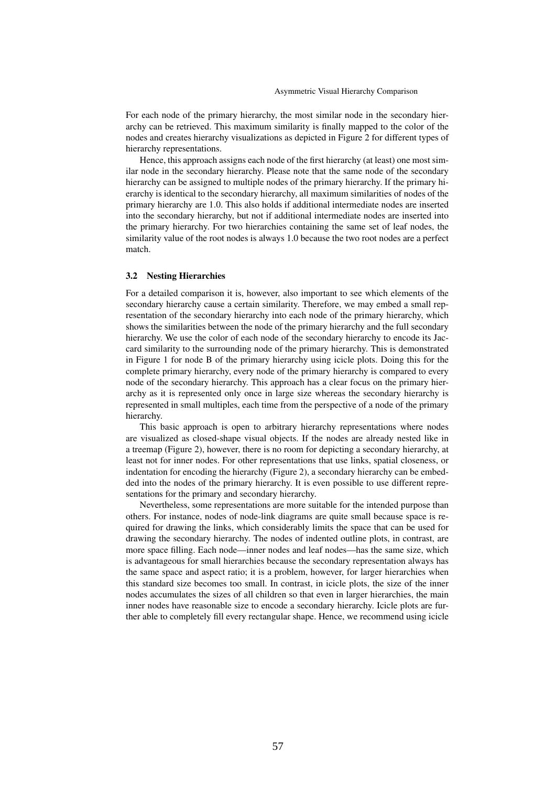For each node of the primary hierarchy, the most similar node in the secondary hierarchy can be retrieved. This maximum similarity is finally mapped to the color of the nodes and creates hierarchy visualizations as depicted in Figure 2 for different types of hierarchy representations.

Hence, this approach assigns each node of the first hierarchy (at least) one most similar node in the secondary hierarchy. Please note that the same node of the secondary hierarchy can be assigned to multiple nodes of the primary hierarchy. If the primary hierarchy is identical to the secondary hierarchy, all maximum similarities of nodes of the primary hierarchy are 1.0. This also holds if additional intermediate nodes are inserted into the secondary hierarchy, but not if additional intermediate nodes are inserted into the primary hierarchy. For two hierarchies containing the same set of leaf nodes, the similarity value of the root nodes is always 1.0 because the two root nodes are a perfect match.

#### 3.2 Nesting Hierarchies

For a detailed comparison it is, however, also important to see which elements of the secondary hierarchy cause a certain similarity. Therefore, we may embed a small representation of the secondary hierarchy into each node of the primary hierarchy, which shows the similarities between the node of the primary hierarchy and the full secondary hierarchy. We use the color of each node of the secondary hierarchy to encode its Jaccard similarity to the surrounding node of the primary hierarchy. This is demonstrated in Figure 1 for node B of the primary hierarchy using icicle plots. Doing this for the complete primary hierarchy, every node of the primary hierarchy is compared to every node of the secondary hierarchy. This approach has a clear focus on the primary hierarchy as it is represented only once in large size whereas the secondary hierarchy is represented in small multiples, each time from the perspective of a node of the primary hierarchy.

This basic approach is open to arbitrary hierarchy representations where nodes are visualized as closed-shape visual objects. If the nodes are already nested like in a treemap (Figure 2), however, there is no room for depicting a secondary hierarchy, at least not for inner nodes. For other representations that use links, spatial closeness, or indentation for encoding the hierarchy (Figure 2), a secondary hierarchy can be embedded into the nodes of the primary hierarchy. It is even possible to use different representations for the primary and secondary hierarchy.

Nevertheless, some representations are more suitable for the intended purpose than others. For instance, nodes of node-link diagrams are quite small because space is required for drawing the links, which considerably limits the space that can be used for drawing the secondary hierarchy. The nodes of indented outline plots, in contrast, are more space filling. Each node—inner nodes and leaf nodes—has the same size, which is advantageous for small hierarchies because the secondary representation always has the same space and aspect ratio; it is a problem, however, for larger hierarchies when this standard size becomes too small. In contrast, in icicle plots, the size of the inner nodes accumulates the sizes of all children so that even in larger hierarchies, the main inner nodes have reasonable size to encode a secondary hierarchy. Icicle plots are further able to completely fill every rectangular shape. Hence, we recommend using icicle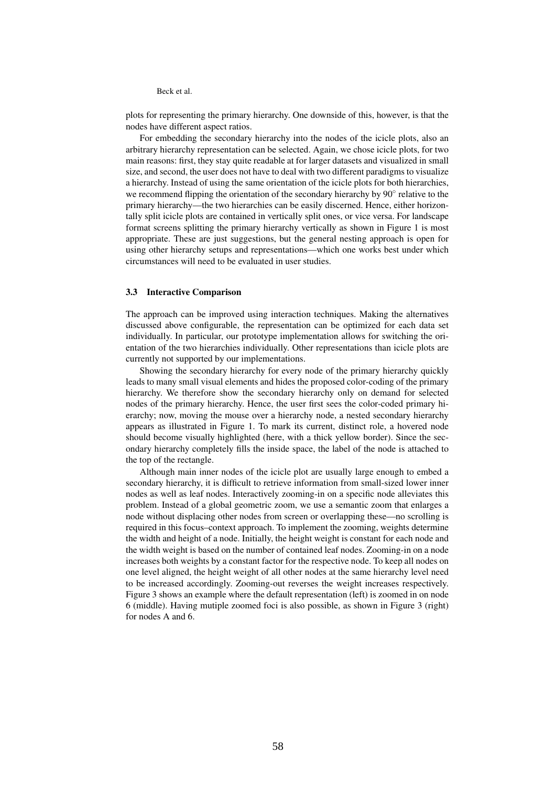plots for representing the primary hierarchy. One downside of this, however, is that the nodes have different aspect ratios.

For embedding the secondary hierarchy into the nodes of the icicle plots, also an arbitrary hierarchy representation can be selected. Again, we chose icicle plots, for two main reasons: first, they stay quite readable at for larger datasets and visualized in small size, and second, the user does not have to deal with two different paradigms to visualize a hierarchy. Instead of using the same orientation of the icicle plots for both hierarchies, we recommend flipping the orientation of the secondary hierarchy by 90° relative to the primary hierarchy—the two hierarchies can be easily discerned. Hence, either horizontally split icicle plots are contained in vertically split ones, or vice versa. For landscape format screens splitting the primary hierarchy vertically as shown in Figure 1 is most appropriate. These are just suggestions, but the general nesting approach is open for using other hierarchy setups and representations—which one works best under which circumstances will need to be evaluated in user studies.

#### 3.3 Interactive Comparison

The approach can be improved using interaction techniques. Making the alternatives discussed above configurable, the representation can be optimized for each data set individually. In particular, our prototype implementation allows for switching the orientation of the two hierarchies individually. Other representations than icicle plots are currently not supported by our implementations.

Showing the secondary hierarchy for every node of the primary hierarchy quickly leads to many small visual elements and hides the proposed color-coding of the primary hierarchy. We therefore show the secondary hierarchy only on demand for selected nodes of the primary hierarchy. Hence, the user first sees the color-coded primary hierarchy; now, moving the mouse over a hierarchy node, a nested secondary hierarchy appears as illustrated in Figure 1. To mark its current, distinct role, a hovered node should become visually highlighted (here, with a thick yellow border). Since the secondary hierarchy completely fills the inside space, the label of the node is attached to the top of the rectangle.

Although main inner nodes of the icicle plot are usually large enough to embed a secondary hierarchy, it is difficult to retrieve information from small-sized lower inner nodes as well as leaf nodes. Interactively zooming-in on a specific node alleviates this problem. Instead of a global geometric zoom, we use a semantic zoom that enlarges a node without displacing other nodes from screen or overlapping these—no scrolling is required in this focus–context approach. To implement the zooming, weights determine the width and height of a node. Initially, the height weight is constant for each node and the width weight is based on the number of contained leaf nodes. Zooming-in on a node increases both weights by a constant factor for the respective node. To keep all nodes on one level aligned, the height weight of all other nodes at the same hierarchy level need to be increased accordingly. Zooming-out reverses the weight increases respectively. Figure 3 shows an example where the default representation (left) is zoomed in on node 6 (middle). Having mutiple zoomed foci is also possible, as shown in Figure 3 (right) for nodes A and 6.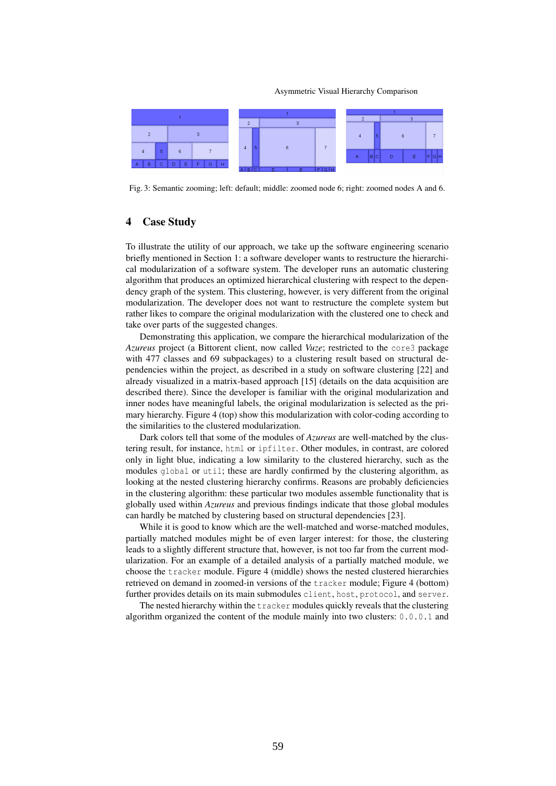Asymmetric Visual Hierarchy Comparison



Fig. 3: Semantic zooming; left: default; middle: zoomed node 6; right: zoomed nodes A and 6.

## 4 Case Study

To illustrate the utility of our approach, we take up the software engineering scenario briefly mentioned in Section 1: a software developer wants to restructure the hierarchical modularization of a software system. The developer runs an automatic clustering algorithm that produces an optimized hierarchical clustering with respect to the dependency graph of the system. This clustering, however, is very different from the original modularization. The developer does not want to restructure the complete system but rather likes to compare the original modularization with the clustered one to check and take over parts of the suggested changes.

Demonstrating this application, we compare the hierarchical modularization of the *Azureus* project (a Bittorent client, now called *Vuze*; restricted to the core3 package with 477 classes and 69 subpackages) to a clustering result based on structural dependencies within the project, as described in a study on software clustering [22] and already visualized in a matrix-based approach [15] (details on the data acquisition are described there). Since the developer is familiar with the original modularization and inner nodes have meaningful labels, the original modularization is selected as the primary hierarchy. Figure 4 (top) show this modularization with color-coding according to the similarities to the clustered modularization.

Dark colors tell that some of the modules of *Azureus* are well-matched by the clustering result, for instance, html or ipfilter. Other modules, in contrast, are colored only in light blue, indicating a low similarity to the clustered hierarchy, such as the modules global or util; these are hardly confirmed by the clustering algorithm, as looking at the nested clustering hierarchy confirms. Reasons are probably deficiencies in the clustering algorithm: these particular two modules assemble functionality that is globally used within *Azureus* and previous findings indicate that those global modules can hardly be matched by clustering based on structural dependencies [23].

While it is good to know which are the well-matched and worse-matched modules. partially matched modules might be of even larger interest: for those, the clustering leads to a slightly different structure that, however, is not too far from the current modularization. For an example of a detailed analysis of a partially matched module, we choose the tracker module. Figure 4 (middle) shows the nested clustered hierarchies retrieved on demand in zoomed-in versions of the tracker module; Figure 4 (bottom) further provides details on its main submodules client, host, protocol, and server.

The nested hierarchy within the tracker modules quickly reveals that the clustering algorithm organized the content of the module mainly into two clusters: 0.0.0.1 and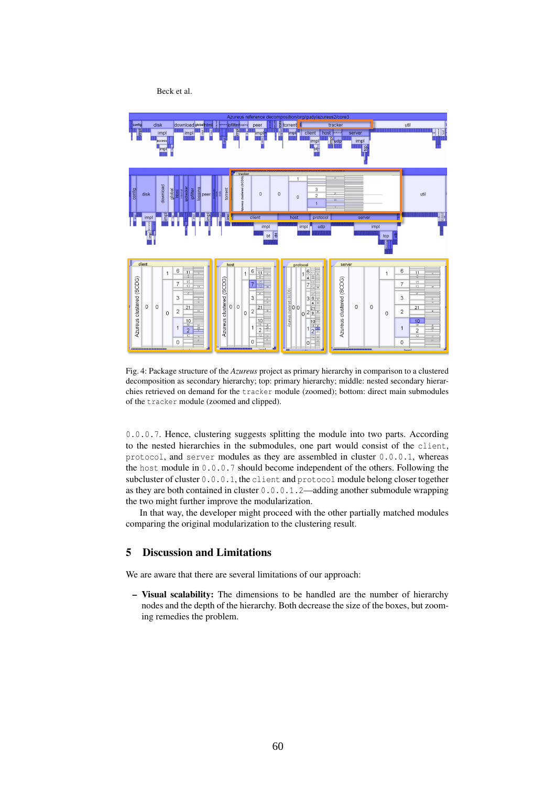

Fig. 4: Package structure of the *Azureus* project as primary hierarchy in comparison to a clustered decomposition as secondary hierarchy; top: primary hierarchy; middle: nested secondary hierarchies retrieved on demand for the tracker module (zoomed); bottom: direct main submodules of the tracker module (zoomed and clipped).

0.0.0.7. Hence, clustering suggests splitting the module into two parts. According to the nested hierarchies in the submodules, one part would consist of the client, protocol, and server modules as they are assembled in cluster 0.0.0.1, whereas the host module in 0.0.0.7 should become independent of the others. Following the subcluster of cluster 0.0.0.1, the client and protocol module belong closer together as they are both contained in cluster 0.0.0.1.2—adding another submodule wrapping the two might further improve the modularization.

In that way, the developer might proceed with the other partially matched modules comparing the original modularization to the clustering result.

# 5 Discussion and Limitations

We are aware that there are several limitations of our approach:

– Visual scalability: The dimensions to be handled are the number of hierarchy nodes and the depth of the hierarchy. Both decrease the size of the boxes, but zooming remedies the problem.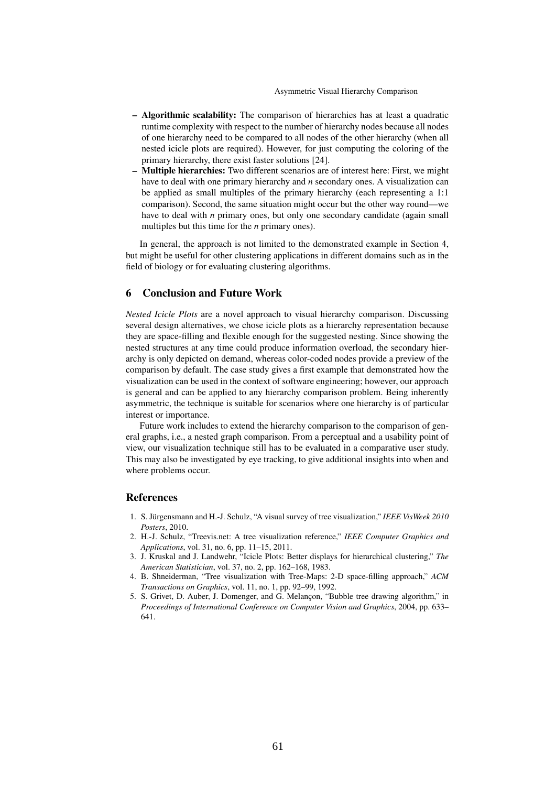#### Asymmetric Visual Hierarchy Comparison

- Algorithmic scalability: The comparison of hierarchies has at least a quadratic runtime complexity with respect to the number of hierarchy nodes because all nodes of one hierarchy need to be compared to all nodes of the other hierarchy (when all nested icicle plots are required). However, for just computing the coloring of the primary hierarchy, there exist faster solutions [24].
- Multiple hierarchies: Two different scenarios are of interest here: First, we might have to deal with one primary hierarchy and *n* secondary ones. A visualization can be applied as small multiples of the primary hierarchy (each representing a 1:1 comparison). Second, the same situation might occur but the other way round—we have to deal with *n* primary ones, but only one secondary candidate (again small multiples but this time for the *n* primary ones).

In general, the approach is not limited to the demonstrated example in Section 4, but might be useful for other clustering applications in different domains such as in the field of biology or for evaluating clustering algorithms.

## 6 Conclusion and Future Work

*Nested Icicle Plots* are a novel approach to visual hierarchy comparison. Discussing several design alternatives, we chose icicle plots as a hierarchy representation because they are space-filling and flexible enough for the suggested nesting. Since showing the nested structures at any time could produce information overload, the secondary hierarchy is only depicted on demand, whereas color-coded nodes provide a preview of the comparison by default. The case study gives a first example that demonstrated how the visualization can be used in the context of software engineering; however, our approach is general and can be applied to any hierarchy comparison problem. Being inherently asymmetric, the technique is suitable for scenarios where one hierarchy is of particular interest or importance.

Future work includes to extend the hierarchy comparison to the comparison of general graphs, i.e., a nested graph comparison. From a perceptual and a usability point of view, our visualization technique still has to be evaluated in a comparative user study. This may also be investigated by eye tracking, to give additional insights into when and where problems occur.

## References

- 1. S. Jürgensmann and H.-J. Schulz, "A visual survey of tree visualization," IEEE VisWeek 2010 *Posters*, 2010.
- 2. H.-J. Schulz, "Treevis.net: A tree visualization reference," *IEEE Computer Graphics and Applications*, vol. 31, no. 6, pp. 11–15, 2011.
- 3. J. Kruskal and J. Landwehr, "Icicle Plots: Better displays for hierarchical clustering," *The American Statistician*, vol. 37, no. 2, pp. 162–168, 1983.
- 4. B. Shneiderman, "Tree visualization with Tree-Maps: 2-D space-filling approach," *ACM Transactions on Graphics*, vol. 11, no. 1, pp. 92–99, 1992.
- 5. S. Grivet, D. Auber, J. Domenger, and G. Melançon, "Bubble tree drawing algorithm," in *Proceedings of International Conference on Computer Vision and Graphics*, 2004, pp. 633– 641.